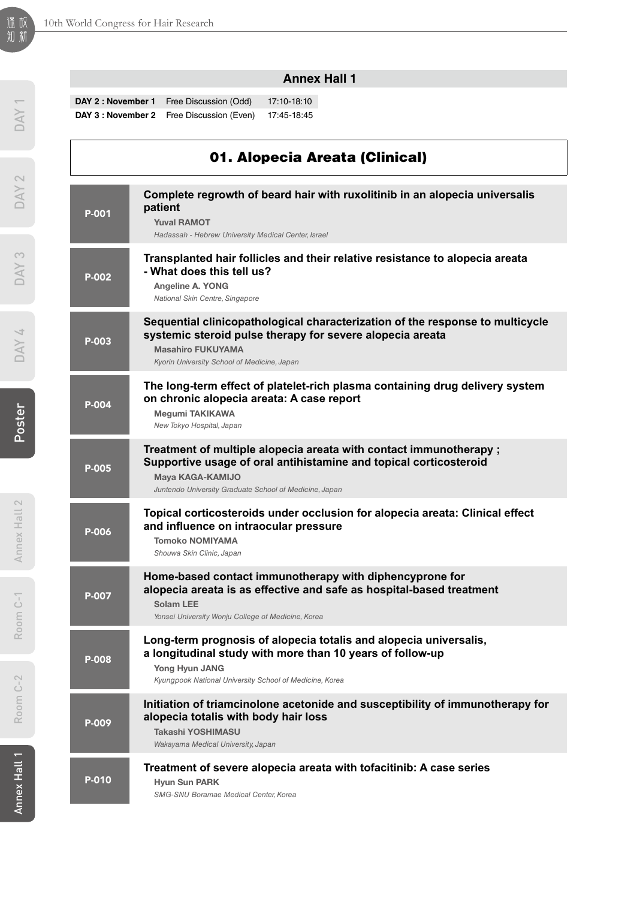#### **Annex Hall 1**

**DAY 2 : November 1** Free Discussion (Odd) 17:10-18:10 **DAY 3 : November 2** Free Discussion (Even) 17:45-18:45

### 01. Alopecia Areata (Clinical)

| P-001 | Complete regrowth of beard hair with ruxolitinib in an alopecia universalis<br>patient<br><b>Yuval RAMOT</b><br>Hadassah - Hebrew University Medical Center, Israel                                                   |
|-------|-----------------------------------------------------------------------------------------------------------------------------------------------------------------------------------------------------------------------|
| P-002 | Transplanted hair follicles and their relative resistance to alopecia areata<br>- What does this tell us?<br>Angeline A. YONG<br>National Skin Centre, Singapore                                                      |
| P-003 | Sequential clinicopathological characterization of the response to multicycle<br>systemic steroid pulse therapy for severe alopecia areata<br><b>Masahiro FUKUYAMA</b><br>Kyorin University School of Medicine, Japan |
| P-004 | The long-term effect of platelet-rich plasma containing drug delivery system<br>on chronic alopecia areata: A case report<br>Megumi TAKIKAWA<br>New Tokyo Hospital, Japan                                             |
| P-005 | Treatment of multiple alopecia areata with contact immunotherapy ;<br>Supportive usage of oral antihistamine and topical corticosteroid<br>Maya KAGA-KAMIJO<br>Juntendo University Graduate School of Medicine, Japan |
| P-006 | Topical corticosteroids under occlusion for alopecia areata: Clinical effect<br>and influence on intraocular pressure<br><b>Tomoko NOMIYAMA</b><br>Shouwa Skin Clinic, Japan                                          |
| P-007 | Home-based contact immunotherapy with diphencyprone for<br>alopecia areata is as effective and safe as hospital-based treatment<br>Solam LEE<br>Yonsei University Wonju College of Medicine, Korea                    |
| P-008 | Long-term prognosis of alopecia totalis and alopecia universalis,<br>a longitudinal study with more than 10 years of follow-up<br>Yong Hyun JANG<br>Kyungpook National University School of Medicine, Korea           |
| P-009 | Initiation of triamcinolone acetonide and susceptibility of immunotherapy for<br>alopecia totalis with body hair loss<br><b>Takashi YOSHIMASU</b><br>Wakayama Medical University, Japan                               |
| P-010 | Treatment of severe alopecia areata with tofacitinib: A case series<br><b>Hyun Sun PARK</b><br>SMG-SNU Boramae Medical Center, Korea                                                                                  |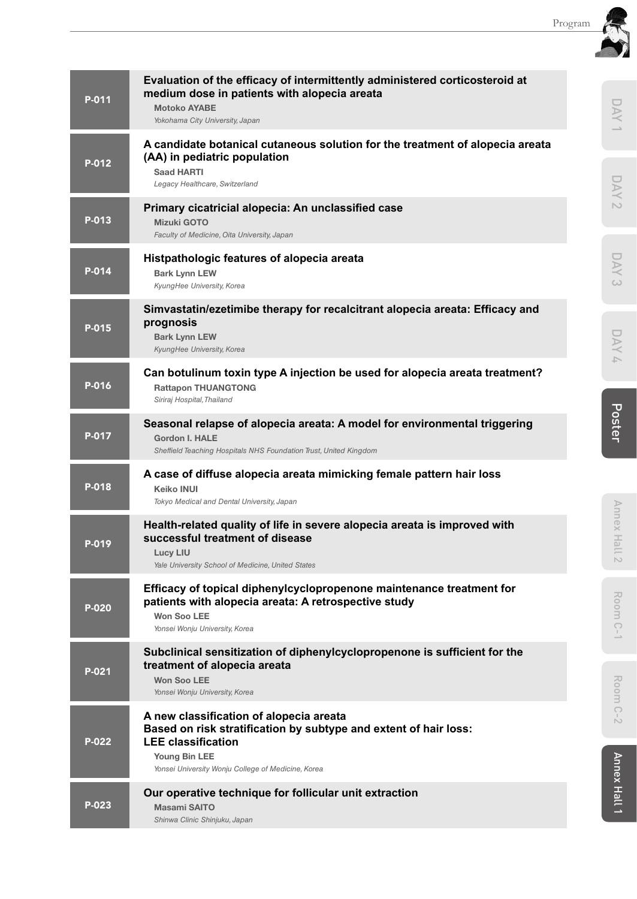| P-011 | Evaluation of the efficacy of intermittently administered corticosteroid at<br>medium dose in patients with alopecia areata<br><b>Motoko AYABE</b><br>Yokohama City University, Japan                           |  | DAY                             |
|-------|-----------------------------------------------------------------------------------------------------------------------------------------------------------------------------------------------------------------|--|---------------------------------|
| P-012 | A candidate botanical cutaneous solution for the treatment of alopecia areata<br>(AA) in pediatric population<br><b>Saad HARTI</b><br>Legacy Healthcare, Switzerland                                            |  | DAY                             |
| P-013 | Primary cicatricial alopecia: An unclassified case<br><b>Mizuki GOTO</b><br>Faculty of Medicine, Oita University, Japan                                                                                         |  | $\sim$                          |
| P-014 | Histpathologic features of alopecia areata<br><b>Bark Lynn LEW</b><br>KyungHee University, Korea                                                                                                                |  | DAY<br>$\omega$                 |
| P-015 | Simvastatin/ezetimibe therapy for recalcitrant alopecia areata: Efficacy and<br>prognosis<br><b>Bark Lynn LEW</b><br>KyungHee University, Korea                                                                 |  | DAY<br>$\overline{\mathcal{L}}$ |
| P-016 | Can botulinum toxin type A injection be used for alopecia areata treatment?<br><b>Rattapon THUANGTONG</b><br>Siriraj Hospital, Thailand                                                                         |  |                                 |
| P-017 | Seasonal relapse of alopecia areata: A model for environmental triggering<br><b>Gordon I. HALE</b><br>Sheffield Teaching Hospitals NHS Foundation Trust, United Kingdom                                         |  | Poster                          |
| P-018 | A case of diffuse alopecia areata mimicking female pattern hair loss<br><b>Keiko INUI</b><br>Tokyo Medical and Dental University, Japan                                                                         |  |                                 |
| P-019 | Health-related quality of life in severe alopecia areata is improved with<br>successful treatment of disease<br><b>Lucy LIU</b><br>Yale University School of Medicine, United States                            |  | Annex Hall 2                    |
| P-020 | Efficacy of topical diphenylcyclopropenone maintenance treatment for<br>patients with alopecia areata: A retrospective study<br><b>Won Soo LEE</b><br>Yonsei Wonju University, Korea                            |  | Room                            |
| P-021 | Subclinical sensitization of diphenylcyclopropenone is sufficient for the<br>treatment of alopecia areata<br><b>Won Soo LEE</b><br>Yonsei Wonju University, Korea                                               |  | Room                            |
| P-022 | A new classification of alopecia areata<br>Based on risk stratification by subtype and extent of hair loss:<br><b>LEE classification</b><br>Young Bin LEE<br>Yonsei University Wonju College of Medicine, Korea |  | $\overline{C}$<br>Ď             |
| P-023 | Our operative technique for follicular unit extraction<br><b>Masami SAITO</b><br>Shinwa Clinic Shinjuku, Japan                                                                                                  |  | Annex Hall 1                    |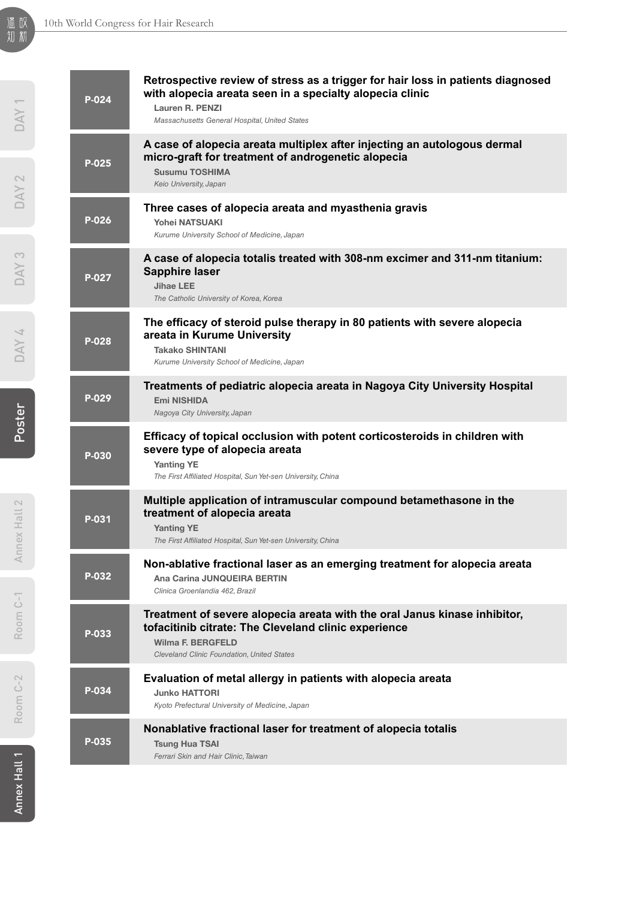| P-024 | Retrospective review of stress as a trigger for hair loss in patients diagnosed<br>with alopecia areata seen in a specialty alopecia clinic<br>Lauren R. PENZI<br>Massachusetts General Hospital, United States |
|-------|-----------------------------------------------------------------------------------------------------------------------------------------------------------------------------------------------------------------|
| P-025 | A case of alopecia areata multiplex after injecting an autologous dermal<br>micro-graft for treatment of androgenetic alopecia<br><b>Susumu TOSHIMA</b><br>Keio University, Japan                               |
| P-026 | Three cases of alopecia areata and myasthenia gravis<br><b>Yohei NATSUAKI</b><br>Kurume University School of Medicine, Japan                                                                                    |
| P-027 | A case of alopecia totalis treated with 308-nm excimer and 311-nm titanium:<br><b>Sapphire laser</b><br><b>Jihae LEE</b><br>The Catholic University of Korea, Korea                                             |
| P-028 | The efficacy of steroid pulse therapy in 80 patients with severe alopecia<br>areata in Kurume University<br><b>Takako SHINTANI</b><br>Kurume University School of Medicine, Japan                               |
| P-029 | Treatments of pediatric alopecia areata in Nagoya City University Hospital<br><b>Emi NISHIDA</b><br>Nagoya City University, Japan                                                                               |
| P-030 | Efficacy of topical occlusion with potent corticosteroids in children with<br>severe type of alopecia areata<br><b>Yanting YE</b><br>The First Affiliated Hospital, Sun Yet-sen University, China               |
| P-031 | Multiple application of intramuscular compound betamethasone in the<br>treatment of alopecia areata<br><b>Yanting YE</b><br>The First Affiliated Hospital, Sun Yet-sen University, China                        |
| P-032 | Non-ablative fractional laser as an emerging treatment for alopecia areata<br>Ana Carina JUNQUEIRA BERTIN<br>Clinica Groenlandia 462, Brazil                                                                    |
| P-033 | Treatment of severe alopecia areata with the oral Janus kinase inhibitor,<br>tofacitinib citrate: The Cleveland clinic experience<br><b>Wilma F. BERGFELD</b><br>Cleveland Clinic Foundation, United States     |
| P-034 | Evaluation of metal allergy in patients with alopecia areata<br><b>Junko HATTORI</b><br>Kyoto Prefectural University of Medicine, Japan                                                                         |
| P-035 | Nonablative fractional laser for treatment of alopecia totalis<br><b>Tsung Hua TSAI</b><br>Ferrari Skin and Hair Clinic, Taiwan                                                                                 |

DAY<sub>1</sub>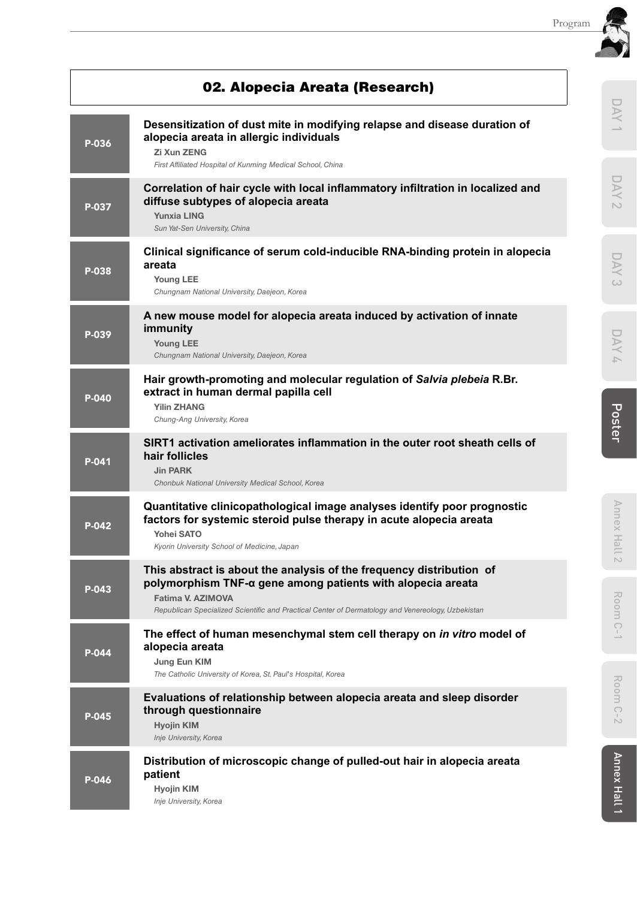|       |                                                                                                                                                                                                                                                               | Program |                                 |
|-------|---------------------------------------------------------------------------------------------------------------------------------------------------------------------------------------------------------------------------------------------------------------|---------|---------------------------------|
|       | 02. Alopecia Areata (Research)                                                                                                                                                                                                                                |         |                                 |
| P-036 | Desensitization of dust mite in modifying relapse and disease duration of<br>alopecia areata in allergic individuals<br>Zi Xun ZENG<br>First Affiliated Hospital of Kunming Medical School, China                                                             |         | DAY                             |
| P-037 | Correlation of hair cycle with local inflammatory infiltration in localized and<br>diffuse subtypes of alopecia areata<br><b>Yunxia LING</b><br>Sun Yat-Sen University, China                                                                                 |         | KN<br>$\sim$                    |
| P-038 | Clinical significance of serum cold-inducible RNA-binding protein in alopecia<br>areata<br>Young LEE<br>Chungnam National University, Daejeon, Korea                                                                                                          |         | DAY<br>$\omega$                 |
| P-039 | A new mouse model for alopecia areata induced by activation of innate<br>immunity<br><b>Young LEE</b><br>Chungnam National University, Daejeon, Korea                                                                                                         |         | DAY<br>$\overline{\phantom{a}}$ |
| P-040 | Hair growth-promoting and molecular regulation of Salvia plebeia R.Br.<br>extract in human dermal papilla cell<br><b>Yilin ZHANG</b><br>Chung-Ang University, Korea                                                                                           |         | Poster                          |
| P-041 | SIRT1 activation ameliorates inflammation in the outer root sheath cells of<br>hair follicles<br><b>Jin PARK</b><br>Chonbuk National University Medical School, Korea                                                                                         |         |                                 |
| P-042 | Quantitative clinicopathological image analyses identify poor prognostic<br>factors for systemic steroid pulse therapy in acute alopecia areata<br><b>Yohei SATO</b><br>Kyorin University School of Medicine, Japan                                           |         | <b>Annex Hall</b>               |
| P-043 | This abstract is about the analysis of the frequency distribution of<br>polymorphism TNF-α gene among patients with alopecia areata<br>Fatima V. AZIMOVA<br>Republican Specialized Scientific and Practical Center of Dermatology and Venereology, Uzbekistan |         | $\sim$<br>Room                  |
| P-044 | The effect of human mesenchymal stem cell therapy on in vitro model of<br>alopecia areata<br>Jung Eun KIM<br>The Catholic University of Korea, St. Paul's Hospital, Korea                                                                                     |         | $C-1$                           |
| P-045 | Evaluations of relationship between alopecia areata and sleep disorder<br>through questionnaire<br><b>Hyojin KIM</b><br>Inje University, Korea                                                                                                                |         | Room<br>$\bigcirc$<br>Ń.        |
| P-046 | Distribution of microscopic change of pulled-out hair in alopecia areata<br>patient<br><b>Hyojin KIM</b><br>Inje University, Korea                                                                                                                            |         | Annex Hal                       |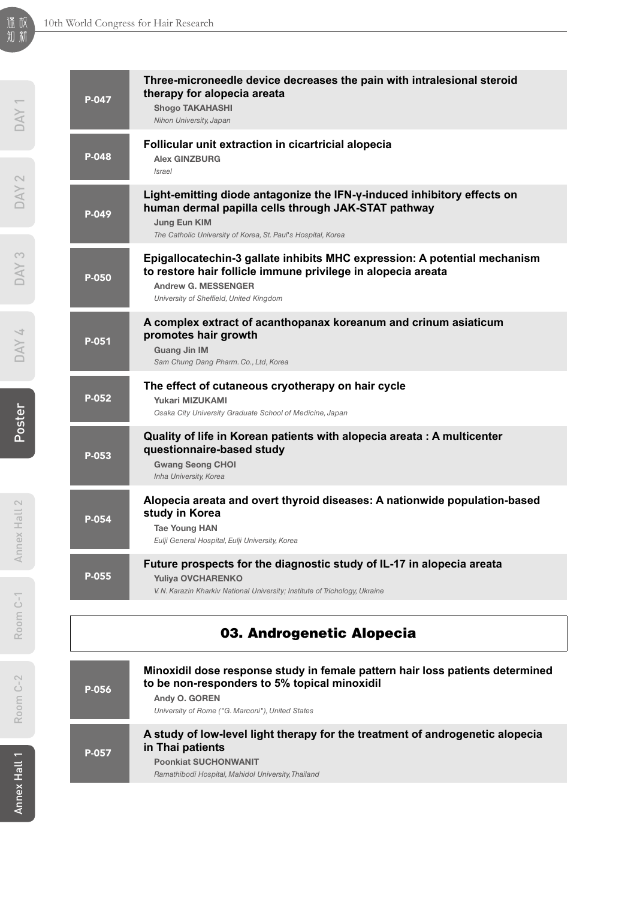| P-047<br>P-048<br>P-049<br>P-050 | Three-microneedle device decreases the pain with intralesional steroid<br>therapy for alopecia areata<br><b>Shogo TAKAHASHI</b><br>Nihon University, Japan<br>Follicular unit extraction in cicartricial alopecia<br><b>Alex GINZBURG</b><br><i>Israel</i><br>Light-emitting diode antagonize the IFN-y-induced inhibitory effects on<br>human dermal papilla cells through JAK-STAT pathway<br>Jung Eun KIM<br>The Catholic University of Korea, St. Paul's Hospital, Korea<br>Epigallocatechin-3 gallate inhibits MHC expression: A potential mechanism<br>to restore hair follicle immune privilege in alopecia areata<br><b>Andrew G. MESSENGER</b><br>University of Sheffield, United Kingdom |
|----------------------------------|----------------------------------------------------------------------------------------------------------------------------------------------------------------------------------------------------------------------------------------------------------------------------------------------------------------------------------------------------------------------------------------------------------------------------------------------------------------------------------------------------------------------------------------------------------------------------------------------------------------------------------------------------------------------------------------------------|
|                                  |                                                                                                                                                                                                                                                                                                                                                                                                                                                                                                                                                                                                                                                                                                    |
|                                  |                                                                                                                                                                                                                                                                                                                                                                                                                                                                                                                                                                                                                                                                                                    |
|                                  |                                                                                                                                                                                                                                                                                                                                                                                                                                                                                                                                                                                                                                                                                                    |
|                                  |                                                                                                                                                                                                                                                                                                                                                                                                                                                                                                                                                                                                                                                                                                    |
| P-051                            | A complex extract of acanthopanax koreanum and crinum asiaticum<br>promotes hair growth<br><b>Guang Jin IM</b><br>Sam Chung Dang Pharm. Co., Ltd, Korea                                                                                                                                                                                                                                                                                                                                                                                                                                                                                                                                            |
| P-052                            | The effect of cutaneous cryotherapy on hair cycle<br>Yukari MIZUKAMI<br>Osaka City University Graduate School of Medicine, Japan                                                                                                                                                                                                                                                                                                                                                                                                                                                                                                                                                                   |
| P-053                            | Quality of life in Korean patients with alopecia areata : A multicenter<br>questionnaire-based study<br><b>Gwang Seong CHOI</b><br>Inha University, Korea                                                                                                                                                                                                                                                                                                                                                                                                                                                                                                                                          |
| P-054                            | Alopecia areata and overt thyroid diseases: A nationwide population-based<br>study in Korea<br><b>Tae Young HAN</b><br>Eulji General Hospital, Eulji University, Korea                                                                                                                                                                                                                                                                                                                                                                                                                                                                                                                             |
| P-055                            | Future prospects for the diagnostic study of IL-17 in alopecia areata<br>Yuliya OVCHARENKO<br>V. N. Karazin Kharkiv National University; Institute of Trichology, Ukraine                                                                                                                                                                                                                                                                                                                                                                                                                                                                                                                          |
|                                  |                                                                                                                                                                                                                                                                                                                                                                                                                                                                                                                                                                                                                                                                                                    |

## 03. Androgenetic Alopecia

| P-056 | Minoxidil dose response study in female pattern hair loss patients determined<br>to be non-responders to 5% topical minoxidil<br>Andy O. GOREN<br>University of Rome ("G. Marconi"), United States |
|-------|----------------------------------------------------------------------------------------------------------------------------------------------------------------------------------------------------|
| P-057 | A study of low-level light therapy for the treatment of androgenetic alopecia<br>in Thai patients                                                                                                  |
|       | <b>Poonkiat SUCHONWANIT</b><br>Ramathibodi Hospital, Mahidol University, Thailand                                                                                                                  |

温故<br>知新

DAY 4

Room C-1

Room C-1

Room C-2

Room C-2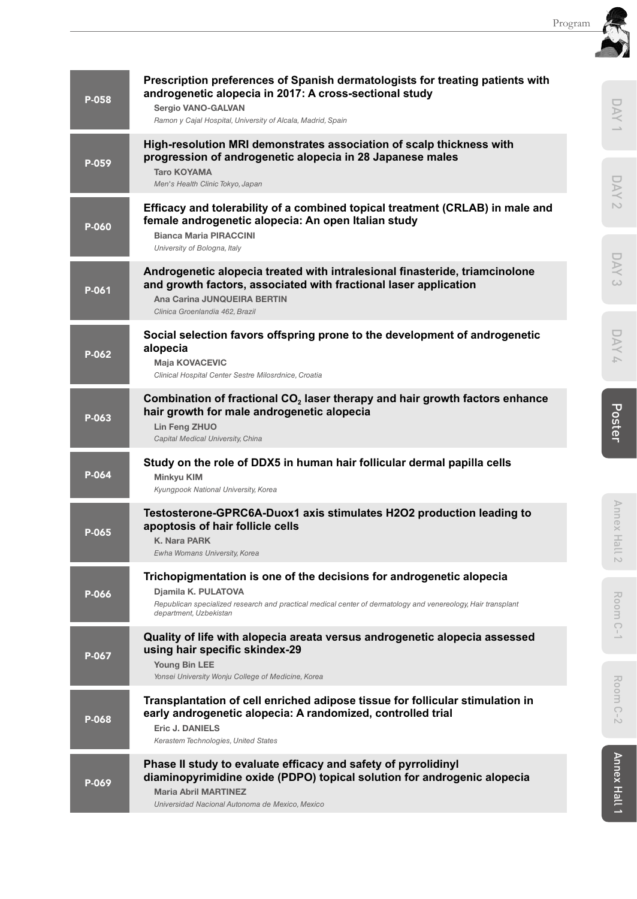| P-058 | androgenetic alopecia in 2017: A cross-sectional study<br>Sergio VANO-GALVAN<br>Ramon y Cajal Hospital, University of Alcala, Madrid, Spain                                                                                           |  |
|-------|---------------------------------------------------------------------------------------------------------------------------------------------------------------------------------------------------------------------------------------|--|
| P-059 | High-resolution MRI demonstrates association of scalp thickness with<br>progression of androgenetic alopecia in 28 Japanese males<br><b>Taro KOYAMA</b><br>Men's Health Clinic Tokyo, Japan                                           |  |
| P-060 | Efficacy and tolerability of a combined topical treatment (CRLAB) in male and<br>female androgenetic alopecia: An open Italian study<br><b>Bianca Maria PIRACCINI</b><br>University of Bologna, Italy                                 |  |
| P-061 | Androgenetic alopecia treated with intralesional finasteride, triamcinolone<br>and growth factors, associated with fractional laser application<br>Ana Carina JUNQUEIRA BERTIN<br>Clinica Groenlandia 462, Brazil                     |  |
| P-062 | Social selection favors offspring prone to the development of androgenetic<br>alopecia<br><b>Maja KOVACEVIC</b><br>Clinical Hospital Center Sestre Milosrdnice, Croatia                                                               |  |
| P-063 | Combination of fractional CO <sub>2</sub> laser therapy and hair growth factors enhance<br>hair growth for male androgenetic alopecia<br>Lin Feng ZHUO<br>Capital Medical University, China                                           |  |
| P-064 | Study on the role of DDX5 in human hair follicular dermal papilla cells<br>Minkyu KIM<br>Kyungpook National University, Korea                                                                                                         |  |
| P-065 | Testosterone-GPRC6A-Duox1 axis stimulates H2O2 production leading to<br>apoptosis of hair follicle cells<br>K. Nara PARK<br>Ewha Womans University, Korea                                                                             |  |
| P-066 | Trichopigmentation is one of the decisions for androgenetic alopecia<br>Djamila K. PULATOVA<br>Republican specialized research and practical medical center of dermatology and venereology, Hair transplant<br>department, Uzbekistan |  |
| P-067 | Quality of life with alopecia areata versus androgenetic alopecia assessed<br>using hair specific skindex-29<br>Young Bin LEE<br>Yonsei University Wonju College of Medicine, Korea                                                   |  |
| P-068 | Transplantation of cell enriched adipose tissue for follicular stimulation in<br>early androgenetic alopecia: A randomized, controlled trial<br><b>Eric J. DANIELS</b><br>Kerastem Technologies, United States                        |  |
| P-069 | Phase II study to evaluate efficacy and safety of pyrrolidinyl<br>diaminopyrimidine oxide (PDPO) topical solution for androgenic alopecia<br><b>Maria Abril MARTINEZ</b><br>Universidad Nacional Autonoma de Mexico, Mexico           |  |
|       |                                                                                                                                                                                                                                       |  |

**Prescription preferences of Spanish dermatologists for treating patients with**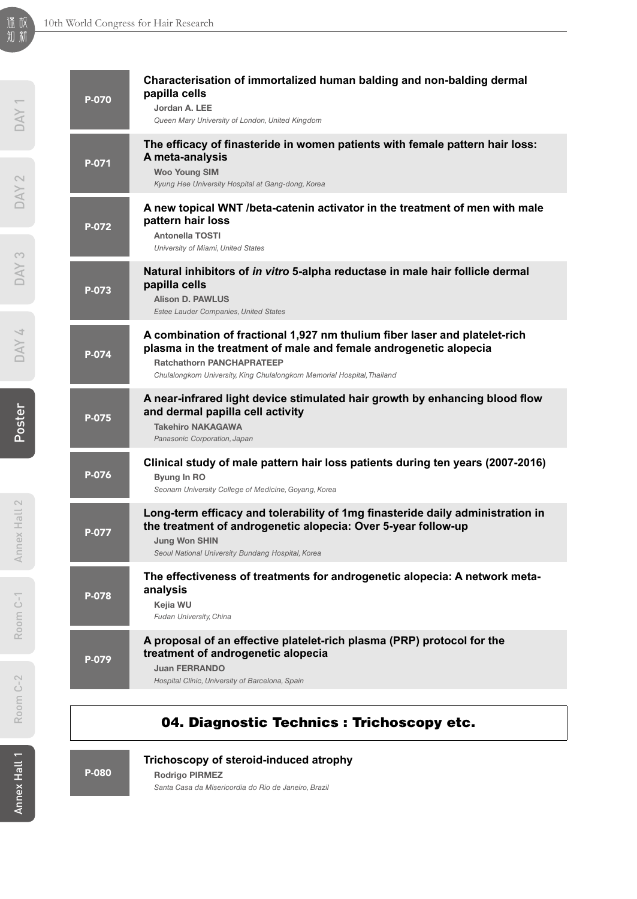| P-070 | Characterisation of immortalized human balding and non-balding dermal<br>papilla cells<br>Jordan A. LEE<br>Queen Mary University of London, United Kingdom                                                                                                     |
|-------|----------------------------------------------------------------------------------------------------------------------------------------------------------------------------------------------------------------------------------------------------------------|
| P-071 | The efficacy of finasteride in women patients with female pattern hair loss:<br>A meta-analysis<br><b>Woo Young SIM</b><br>Kyung Hee University Hospital at Gang-dong, Korea                                                                                   |
| P-072 | A new topical WNT /beta-catenin activator in the treatment of men with male<br>pattern hair loss<br><b>Antonella TOSTI</b><br>University of Miami, United States                                                                                               |
| P-073 | Natural inhibitors of in vitro 5-alpha reductase in male hair follicle dermal<br>papilla cells<br><b>Alison D. PAWLUS</b><br>Estee Lauder Companies, United States                                                                                             |
| P-074 | A combination of fractional 1,927 nm thulium fiber laser and platelet-rich<br>plasma in the treatment of male and female androgenetic alopecia<br><b>Ratchathorn PANCHAPRATEEP</b><br>Chulalongkorn University, King Chulalongkorn Memorial Hospital, Thailand |
| P-075 | A near-infrared light device stimulated hair growth by enhancing blood flow<br>and dermal papilla cell activity<br><b>Takehiro NAKAGAWA</b><br>Panasonic Corporation, Japan                                                                                    |
| P-076 | Clinical study of male pattern hair loss patients during ten years (2007-2016)<br>Byung In RO<br>Seonam University College of Medicine, Goyang, Korea                                                                                                          |
| P-077 | Long-term efficacy and tolerability of 1mg finasteride daily administration in<br>the treatment of androgenetic alopecia: Over 5-year follow-up<br><b>Jung Won SHIN</b><br>Seoul National University Bundang Hospital, Korea                                   |
| P-078 | The effectiveness of treatments for androgenetic alopecia: A network meta-<br>analysis<br>Kejia WU<br>Fudan University, China                                                                                                                                  |
| P-079 | A proposal of an effective platelet-rich plasma (PRP) protocol for the<br>treatment of androgenetic alopecia<br><b>Juan FERRANDO</b><br>Hospital Clínic, University of Barcelona, Spain                                                                        |
|       |                                                                                                                                                                                                                                                                |

### 04. Diagnostic Technics : Trichoscopy etc.

P-080

**Trichoscopy of steroid-induced atrophy**

Rodrigo PIRMEZ

*Santa Casa da Misericordia do Rio de Janeiro, Brazil*

Annex Hall 1

Annex Hall 1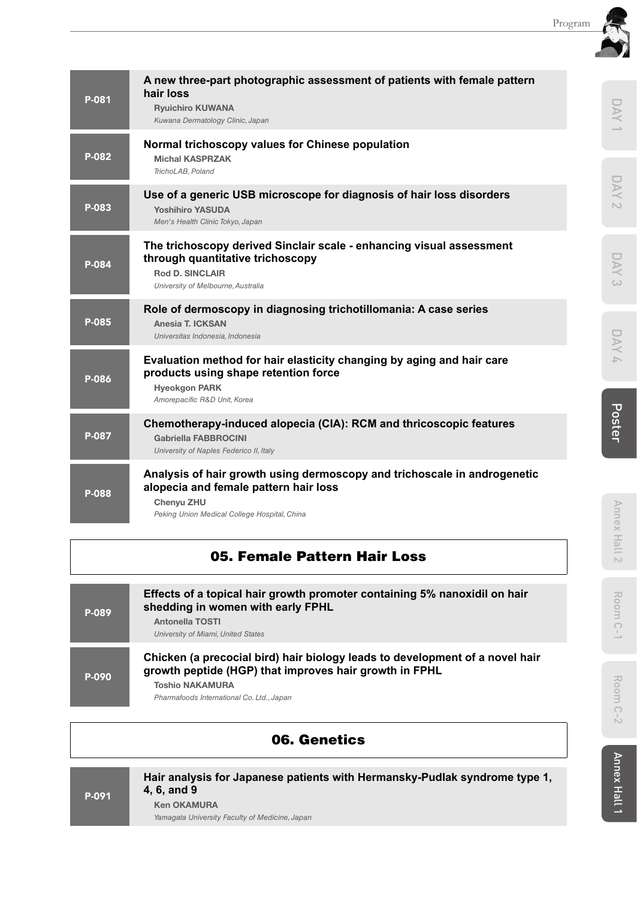| P-081 | A new three-part photographic assessment of patients with female pattern<br>hair loss<br><b>Ryuichiro KUWANA</b><br>Kuwana Dermatology Clinic, Japan                     | DAY             |
|-------|--------------------------------------------------------------------------------------------------------------------------------------------------------------------------|-----------------|
| P-082 | Normal trichoscopy values for Chinese population<br><b>Michal KASPRZAK</b>                                                                                               |                 |
|       | TrichoLAB. Poland                                                                                                                                                        |                 |
| P-083 | Use of a generic USB microscope for diagnosis of hair loss disorders<br><b>Yoshihiro YASUDA</b><br>Men's Health Clinic Tokyo, Japan                                      | DAY<br>$\sim$   |
| P-084 | The trichoscopy derived Sinclair scale - enhancing visual assessment<br>through quantitative trichoscopy<br><b>Rod D. SINCLAIR</b><br>University of Melbourne, Australia | DAY<br>$\omega$ |
| P-085 | Role of dermoscopy in diagnosing trichotillomania: A case series<br>Anesia T. ICKSAN<br>Universitas Indonesia, Indonesia                                                 | DAY             |
| P-086 | Evaluation method for hair elasticity changing by aging and hair care<br>products using shape retention force<br><b>Hyeokgon PARK</b><br>Amorepacific R&D Unit, Korea    |                 |
| P-087 | Chemotherapy-induced alopecia (CIA): RCM and thricoscopic features<br><b>Gabriella FABBROCINI</b><br>University of Naples Federico II, Italy                             | Poster          |
| P-088 | Analysis of hair growth using dermoscopy and trichoscale in androgenetic<br>alopecia and female pattern hair loss                                                        |                 |
|       | Chenyu ZHU<br>Peking Union Medical College Hospital, China                                                                                                               | Annex           |

## 05. Female Pattern Hair Loss

| P-089 | Effects of a topical hair growth promoter containing 5% nanoxidil on hair<br>shedding in women with early FPHL<br><b>Antonella TOSTI</b><br>University of Miami, United States                                |
|-------|---------------------------------------------------------------------------------------------------------------------------------------------------------------------------------------------------------------|
| P-090 | Chicken (a precocial bird) hair biology leads to development of a novel hair<br>growth peptide (HGP) that improves hair growth in FPHL<br><b>Toshio NAKAMURA</b><br>Pharmafoods International Co. Ltd., Japan |

## 06. Genetics

| P-091 | Hair analysis for Japanese patients with Hermansky-Pudlak syndrome type 1,<br>4, 6, and 9 |
|-------|-------------------------------------------------------------------------------------------|
|       | <b>Ken OKAMURA</b><br>Yamagata University Faculty of Medicine, Japan                      |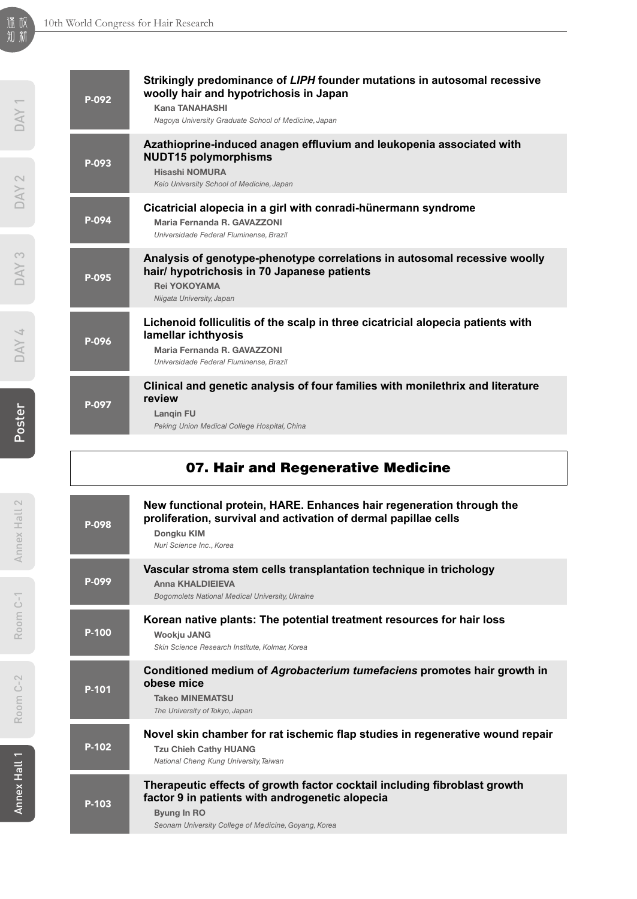| P-092 | Strikingly predominance of LIPH founder mutations in autosomal recessive<br>woolly hair and hypotrichosis in Japan<br><b>Kana TANAHASHI</b><br>Nagoya University Graduate School of Medicine, Japan |
|-------|-----------------------------------------------------------------------------------------------------------------------------------------------------------------------------------------------------|
| P-093 | Azathioprine-induced anagen effluvium and leukopenia associated with<br><b>NUDT15 polymorphisms</b><br><b>Hisashi NOMURA</b><br>Keio University School of Medicine, Japan                           |
| P-094 | Cicatricial alopecia in a girl with conradi-hünermann syndrome<br>Maria Fernanda R. GAVAZZONI<br>Universidade Federal Fluminense, Brazil                                                            |
| P-095 | Analysis of genotype-phenotype correlations in autosomal recessive woolly<br>hair/ hypotrichosis in 70 Japanese patients<br><b>Rei YOKOYAMA</b><br>Niigata University, Japan                        |
| P-096 | Lichenoid folliculitis of the scalp in three cicatricial alopecia patients with<br>lamellar ichthyosis<br>Maria Fernanda R. GAVAZZONI<br>Universidade Federal Fluminense, Brazil                    |
| P-097 | Clinical and genetic analysis of four families with monilethrix and literature<br>review<br>Langin FU<br>Peking Union Medical College Hospital, China                                               |
|       |                                                                                                                                                                                                     |

# 07. Hair and Regenerative Medicine

| P-098 | New functional protein, HARE. Enhances hair regeneration through the<br>proliferation, survival and activation of dermal papillae cells<br>Dongku KIM<br>Nuri Science Inc., Korea                          |
|-------|------------------------------------------------------------------------------------------------------------------------------------------------------------------------------------------------------------|
| P-099 | Vascular stroma stem cells transplantation technique in trichology<br><b>Anna KHALDIEIEVA</b><br>Bogomolets National Medical University, Ukraine                                                           |
| P-100 | Korean native plants: The potential treatment resources for hair loss<br>Wookju JANG<br>Skin Science Research Institute, Kolmar, Korea                                                                     |
| P-101 | Conditioned medium of Agrobacterium tumefaciens promotes hair growth in<br>obese mice<br><b>Takeo MINEMATSU</b><br>The University of Tokyo, Japan                                                          |
| P-102 | Novel skin chamber for rat ischemic flap studies in regenerative wound repair<br><b>Tzu Chieh Cathy HUANG</b><br>National Cheng Kung University, Taiwan                                                    |
| P-103 | Therapeutic effects of growth factor cocktail including fibroblast growth<br>factor 9 in patients with androgenetic alopecia<br><b>Byung In RO</b><br>Seonam University College of Medicine, Goyang, Korea |

DAY<sub>1</sub>

DAY 4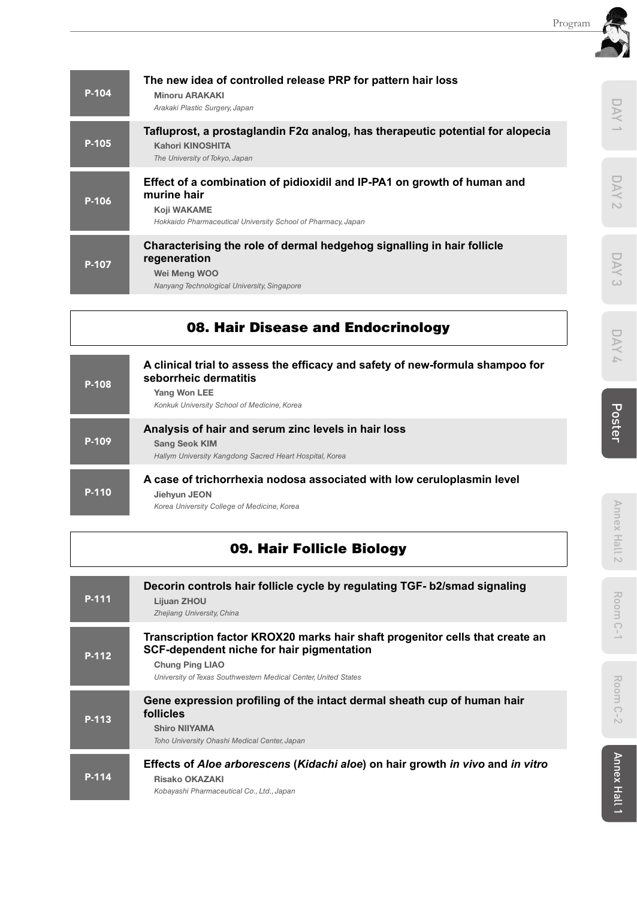D YN 1

**DAY 2** 

DAY 3

DAY 4

| P-104 | The new idea of controlled release PRP for pattern hair loss<br><b>Minoru ARAKAKI</b><br>Arakaki Plastic Surgery, Japan                                               |
|-------|-----------------------------------------------------------------------------------------------------------------------------------------------------------------------|
| P-105 | Tafluprost, a prostaglandin $F2\alpha$ analog, has therapeutic potential for alopecia<br>Kahori KINOSHITA<br>The University of Tokyo, Japan                           |
| P-106 | Effect of a combination of pidioxidil and IP-PA1 on growth of human and<br>murine hair<br>Koji WAKAME<br>Hokkaido Pharmaceutical University School of Pharmacy, Japan |
| P-107 | Characterising the role of dermal hedgehog signalling in hair follicle<br>regeneration<br>Wei Meng WOO<br>Nanyang Technological University, Singapore                 |

## 08. Hair Disease and Endocrinology

| P-108 | A clinical trial to assess the efficacy and safety of new-formula shampoo for<br>seborrheic dermatitis<br>Yang Won LEE<br>Konkuk University School of Medicine, Korea |
|-------|-----------------------------------------------------------------------------------------------------------------------------------------------------------------------|
| P-109 | Analysis of hair and serum zinc levels in hair loss<br><b>Sang Seok KIM</b><br>Hallym University Kangdong Sacred Heart Hospital, Korea                                |
| P-110 | A case of trichorrhexia nodosa associated with low ceruloplasmin level<br>Jiehyun JEON<br>Korea University College of Medicine, Korea                                 |

## 09. Hair Follicle Biology

| P-111 | Decorin controls hair follicle cycle by regulating TGF- b2/smad signaling<br>Lijuan ZHOU<br>Zhejiang University, China                                                                                                |
|-------|-----------------------------------------------------------------------------------------------------------------------------------------------------------------------------------------------------------------------|
| P-112 | Transcription factor KROX20 marks hair shaft progenitor cells that create an<br>SCF-dependent niche for hair pigmentation<br><b>Chung Ping LIAO</b><br>University of Texas Southwestern Medical Center, United States |
| P-113 | Gene expression profiling of the intact dermal sheath cup of human hair<br>follicles<br><b>Shiro NIIYAMA</b><br>Toho University Ohashi Medical Center, Japan                                                          |
| P-114 | Effects of Aloe arborescens (Kidachi aloe) on hair growth in vivo and in vitro<br><b>Risako OKAZAKI</b><br>Kobayashi Pharmaceutical Co., Ltd., Japan                                                                  |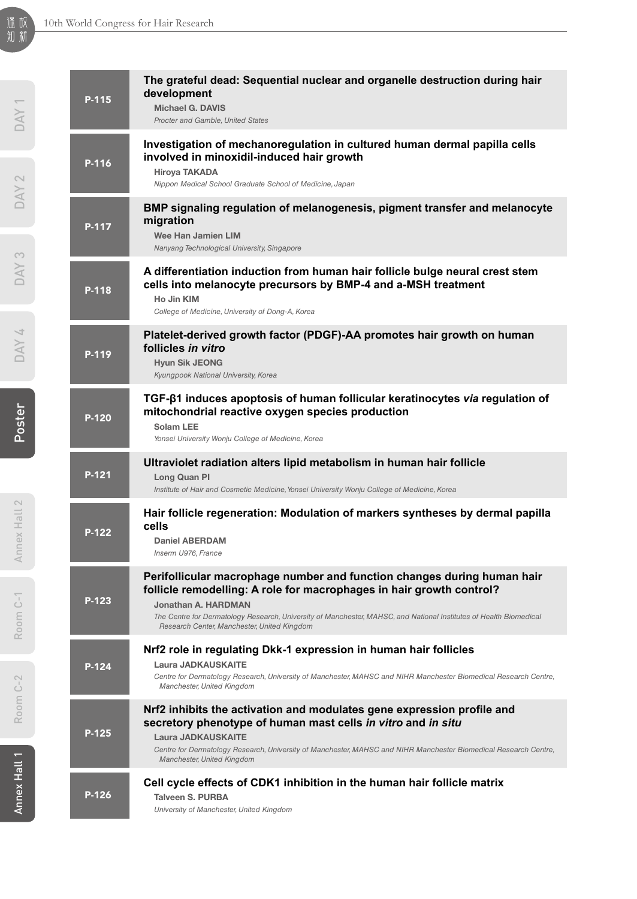| P-115   | The grateful dead: Sequential nuclear and organelle destruction during hair<br>development<br><b>Michael G. DAVIS</b><br>Procter and Gamble, United States                                                                                                                                                                                  |
|---------|---------------------------------------------------------------------------------------------------------------------------------------------------------------------------------------------------------------------------------------------------------------------------------------------------------------------------------------------|
| P-116   | Investigation of mechanoregulation in cultured human dermal papilla cells<br>involved in minoxidil-induced hair growth<br>Hiroya TAKADA<br>Nippon Medical School Graduate School of Medicine, Japan                                                                                                                                         |
| P-117   | BMP signaling regulation of melanogenesis, pigment transfer and melanocyte<br>migration<br>Wee Han Jamien LIM<br>Nanyang Technological University, Singapore                                                                                                                                                                                |
| P-118   | A differentiation induction from human hair follicle bulge neural crest stem<br>cells into melanocyte precursors by BMP-4 and a-MSH treatment<br>Ho Jin KIM<br>College of Medicine, University of Dong-A, Korea                                                                                                                             |
| P-119   | Platelet-derived growth factor (PDGF)-AA promotes hair growth on human<br>follicles in vitro<br><b>Hyun Sik JEONG</b><br>Kyungpook National University, Korea                                                                                                                                                                               |
| P-120   | TGF-β1 induces apoptosis of human follicular keratinocytes via regulation of<br>mitochondrial reactive oxygen species production<br>Solam LEE<br>Yonsei University Wonju College of Medicine, Korea                                                                                                                                         |
| P-121   | Ultraviolet radiation alters lipid metabolism in human hair follicle<br>Long Quan Pl<br>Institute of Hair and Cosmetic Medicine, Yonsei University Wonju College of Medicine, Korea                                                                                                                                                         |
| $P-122$ | Hair follicle regeneration: Modulation of markers syntheses by dermal papilla<br>cells<br><b>Daniel ABERDAM</b><br>Inserm U976, France                                                                                                                                                                                                      |
| P-123   | Perifollicular macrophage number and function changes during human hair<br>follicle remodelling: A role for macrophages in hair growth control?<br>Jonathan A. HARDMAN<br>The Centre for Dermatology Research, University of Manchester, MAHSC, and National Institutes of Health Biomedical<br>Research Center, Manchester, United Kingdom |
| P-124   | Nrf2 role in regulating Dkk-1 expression in human hair follicles<br><b>Laura JADKAUSKAITE</b><br>Centre for Dermatology Research, University of Manchester, MAHSC and NIHR Manchester Biomedical Research Centre,<br>Manchester, United Kingdom                                                                                             |
| P-125   | Nrf2 inhibits the activation and modulates gene expression profile and<br>secretory phenotype of human mast cells in vitro and in situ<br><b>Laura JADKAUSKAITE</b><br>Centre for Dermatology Research, University of Manchester, MAHSC and NIHR Manchester Biomedical Research Centre,<br>Manchester, United Kingdom                       |
| P-126   | Cell cycle effects of CDK1 inhibition in the human hair follicle matrix<br><b>Talveen S. PURBA</b><br>University of Manchester, United Kingdom                                                                                                                                                                                              |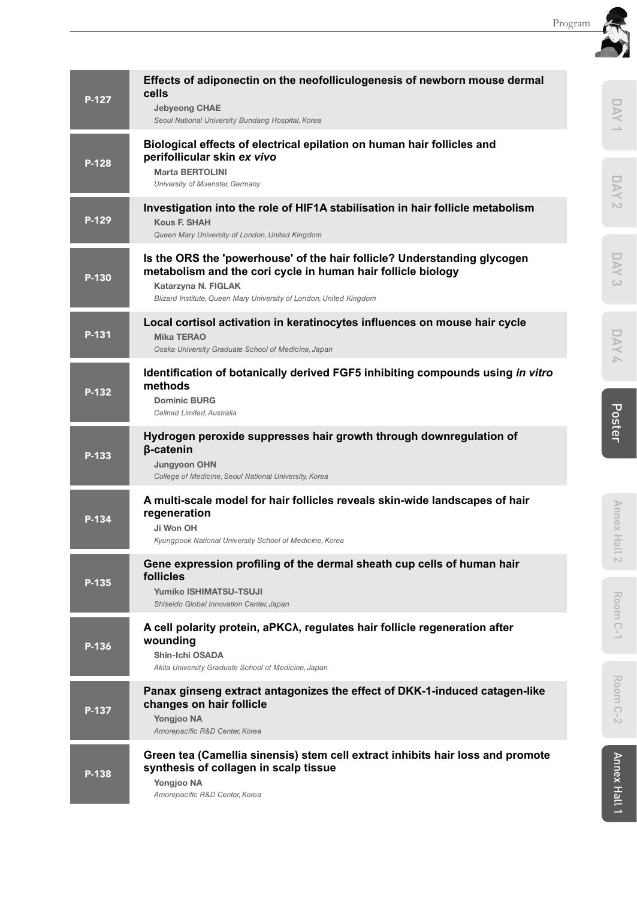| P-127 | Effects of adiponectin on the neofolliculogenesis of newborn mouse dermal<br>cells<br><b>Jebyeong CHAE</b><br>Seoul National University Bundang Hospital, Korea                                                                       | DAY                                        |  |
|-------|---------------------------------------------------------------------------------------------------------------------------------------------------------------------------------------------------------------------------------------|--------------------------------------------|--|
| P-128 | Biological effects of electrical epilation on human hair follicles and<br>perifollicular skin ex vivo<br><b>Marta BERTOLINI</b><br>University of Muenster, Germany                                                                    |                                            |  |
| P-129 | Investigation into the role of HIF1A stabilisation in hair follicle metabolism<br><b>Kous F. SHAH</b><br>Queen Mary University of London, United Kingdom                                                                              | $\sim$                                     |  |
| P-130 | Is the ORS the 'powerhouse' of the hair follicle? Understanding glycogen<br>metabolism and the cori cycle in human hair follicle biology<br>Katarzyna N. FIGLAK<br>Blizard Institute, Queen Mary University of London, United Kingdom | $\geq$<br>$\omega$                         |  |
| P-131 | Local cortisol activation in keratinocytes influences on mouse hair cycle<br><b>Mika TERAO</b><br>Osaka University Graduate School of Medicine, Japan                                                                                 | DAY<br>A                                   |  |
| P-132 | Identification of botanically derived FGF5 inhibiting compounds using in vitro<br>methods<br><b>Dominic BURG</b><br>Cellmid Limited, Australia                                                                                        |                                            |  |
| P-133 | Hydrogen peroxide suppresses hair growth through downregulation of<br>β-catenin<br><b>Jungyoon OHN</b><br>College of Medicine, Seoul National University, Korea                                                                       | Poster                                     |  |
| P-134 | A multi-scale model for hair follicles reveals skin-wide landscapes of hair<br>regeneration<br>Ji Won OH<br>Kyungpook National University School of Medicine, Korea                                                                   | Annex Hall                                 |  |
| P-135 | Gene expression profiling of the dermal sheath cup cells of human hair<br>follicles<br>Yumiko ISHIMATSU-TSUJI<br>Shiseido Global Innovation Center, Japan                                                                             | $\sim$<br>Room                             |  |
| P-136 | A cell polarity protein, aPKCA, regulates hair follicle regeneration after<br>wounding<br>Shin-Ichi OSADA<br>Akita University Graduate School of Medicine, Japan                                                                      | $C-1$                                      |  |
| P-137 | Panax ginseng extract antagonizes the effect of DKK-1-induced catagen-like<br>changes on hair follicle<br><b>Yongjoo NA</b><br>Amorepacific R&D Center, Korea                                                                         | Room<br>$\bigcirc$<br>$\stackrel{1}{\sim}$ |  |
| P-138 | Green tea (Camellia sinensis) stem cell extract inhibits hair loss and promote<br>synthesis of collagen in scalp tissue<br>Yongjoo NA<br>Amorepacific R&D Center, Korea                                                               | Annex Hall 1                               |  |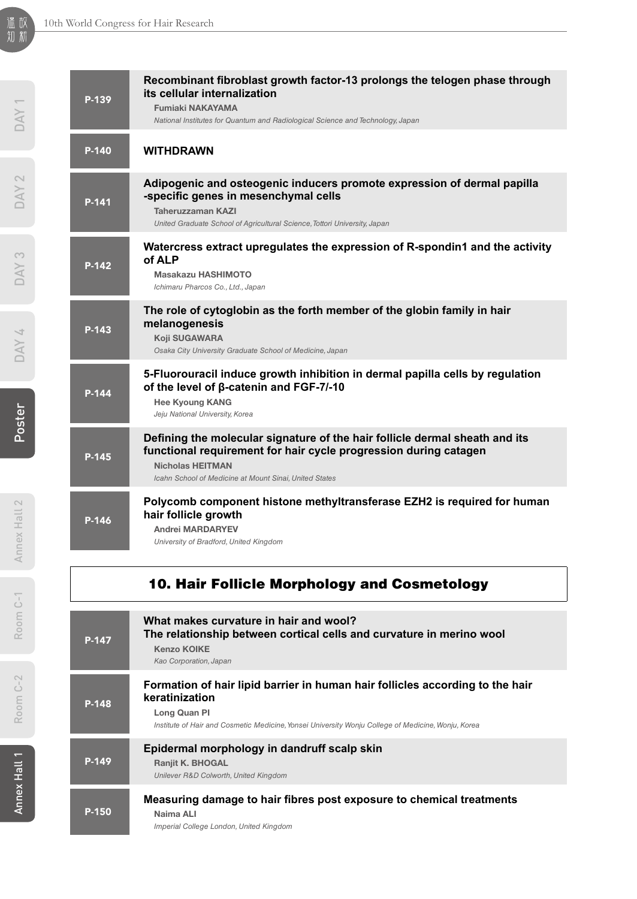| P-139   | Recombinant fibroblast growth factor-13 prolongs the telogen phase through<br>its cellular internalization<br><b>Fumiaki NAKAYAMA</b><br>National Institutes for Quantum and Radiological Science and Technology, Japan              |
|---------|--------------------------------------------------------------------------------------------------------------------------------------------------------------------------------------------------------------------------------------|
| $P-140$ | <b>WITHDRAWN</b>                                                                                                                                                                                                                     |
| P-141   | Adipogenic and osteogenic inducers promote expression of dermal papilla<br>-specific genes in mesenchymal cells<br>Taheruzzaman KAZI<br>United Graduate School of Agricultural Science, Tottori University, Japan                    |
| $P-142$ | Watercress extract upregulates the expression of R-spondin1 and the activity<br>of ALP<br><b>Masakazu HASHIMOTO</b><br>Ichimaru Pharcos Co., Ltd., Japan                                                                             |
| $P-143$ | The role of cytoglobin as the forth member of the globin family in hair<br>melanogenesis<br>Koji SUGAWARA<br>Osaka City University Graduate School of Medicine, Japan                                                                |
| P-144   | 5-Fluorouracil induce growth inhibition in dermal papilla cells by regulation<br>of the level of β-catenin and FGF-7/-10<br><b>Hee Kyoung KANG</b><br>Jeju National University, Korea                                                |
| P-145   | Defining the molecular signature of the hair follicle dermal sheath and its<br>functional requirement for hair cycle progression during catagen<br><b>Nicholas HEITMAN</b><br>Icahn School of Medicine at Mount Sinai, United States |
| P-146   | Polycomb component histone methyltransferase EZH2 is required for human<br>hair follicle growth<br><b>Andrei MARDARYEV</b><br>University of Bradford, United Kingdom                                                                 |
|         | 10. Hair Follicle Morphology and Cosmetology                                                                                                                                                                                         |

| P-147 | What makes curvature in hair and wool?<br>The relationship between cortical cells and curvature in merino wool<br><b>Kenzo KOIKE</b><br>Kao Corporation, Japan                                                        |
|-------|-----------------------------------------------------------------------------------------------------------------------------------------------------------------------------------------------------------------------|
| P-148 | Formation of hair lipid barrier in human hair follicles according to the hair<br>keratinization<br>Long Quan PI<br>Institute of Hair and Cosmetic Medicine, Yonsei University Wonju College of Medicine, Wonju, Korea |
| P-149 | Epidermal morphology in dandruff scalp skin<br><b>Ranjit K. BHOGAL</b><br>Unilever R&D Colworth, United Kingdom                                                                                                       |
| P-150 | Measuring damage to hair fibres post exposure to chemical treatments<br>Naima ALI<br>Imperial College London, United Kingdom                                                                                          |

**Contract Contract Contract Contract**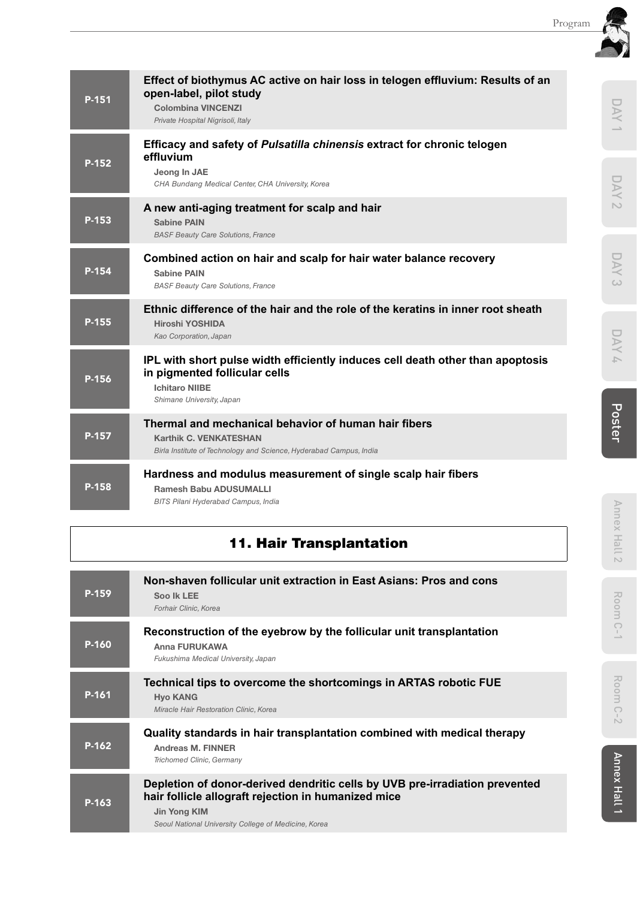| Poster           |
|------------------|
| DAY              |
| DAY <sub>3</sub> |
| <b>DAY 2</b>     |
| DAY              |

| P-151   | open-label, pilot study<br><b>Colombina VINCENZI</b><br>Private Hospital Nigrisoli, Italy                                                                             |
|---------|-----------------------------------------------------------------------------------------------------------------------------------------------------------------------|
| P-152   | Efficacy and safety of Pulsatilla chinensis extract for chronic telogen<br>effluvium<br>Jeong In JAE<br>CHA Bundang Medical Center, CHA University, Korea             |
| P-153   | A new anti-aging treatment for scalp and hair<br><b>Sabine PAIN</b><br><b>BASF Beauty Care Solutions, France</b>                                                      |
| P-154   | Combined action on hair and scalp for hair water balance recovery<br><b>Sabine PAIN</b><br><b>BASF Beauty Care Solutions, France</b>                                  |
| $P-155$ | Ethnic difference of the hair and the role of the keratins in inner root sheath<br><b>Hiroshi YOSHIDA</b><br>Kao Corporation, Japan                                   |
| P-156   | IPL with short pulse width efficiently induces cell death other than apoptosis<br>in pigmented follicular cells<br><b>Ichitaro NIIBE</b><br>Shimane University, Japan |
| P-157   | Thermal and mechanical behavior of human hair fibers<br><b>Karthik C. VENKATESHAN</b><br>Birla Institute of Technology and Science, Hyderabad Campus, India           |
| $P-158$ | Hardness and modulus measurement of single scalp hair fibers<br><b>Ramesh Babu ADUSUMALLI</b><br>BITS Pilani Hyderabad Campus, India                                  |

**Effect of biothymus AC active on hair loss in telogen effluvium: Results of an** 

## 11. Hair Transplantation

| P-159 | Non-shaven follicular unit extraction in East Asians: Pros and cons<br>Soo Ik LEE<br>Forhair Clinic, Korea                                                                                                 |
|-------|------------------------------------------------------------------------------------------------------------------------------------------------------------------------------------------------------------|
| P-160 | Reconstruction of the eyebrow by the follicular unit transplantation<br>Anna FURUKAWA<br>Fukushima Medical University, Japan                                                                               |
| P-161 | Technical tips to overcome the shortcomings in ARTAS robotic FUE<br><b>Hyo KANG</b><br>Miracle Hair Restoration Clinic, Korea                                                                              |
| P-162 | Quality standards in hair transplantation combined with medical therapy<br>Andreas M. FINNER<br>Trichomed Clinic, Germany                                                                                  |
| P-163 | Depletion of donor-derived dendritic cells by UVB pre-irradiation prevented<br>hair follicle allograft rejection in humanized mice<br>Jin Yong KIM<br>Seoul National University College of Medicine, Korea |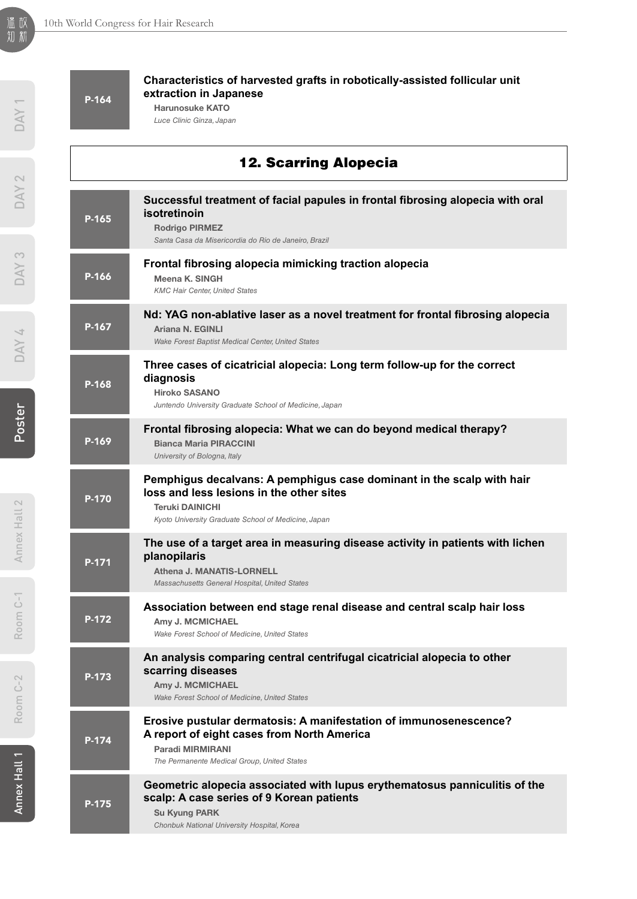| DAY                             | P-164 | Characteristics of harvested grafts in robotically-assisted follicular unit<br>extraction in Japanese<br><b>Harunosuke KATO</b><br>Luce Clinic Ginza, Japan                                        |
|---------------------------------|-------|----------------------------------------------------------------------------------------------------------------------------------------------------------------------------------------------------|
| $\sim$                          |       | <b>12. Scarring Alopecia</b>                                                                                                                                                                       |
| <b>NVO</b>                      | P-165 | Successful treatment of facial papules in frontal fibrosing alopecia with oral<br>isotretinoin<br><b>Rodrigo PIRMEZ</b><br>Santa Casa da Misericordia do Rio de Janeiro, Brazil                    |
| <b>NAD</b>                      | P-166 | Frontal fibrosing alopecia mimicking traction alopecia<br>Meena K. SINGH<br><b>KMC Hair Center, United States</b>                                                                                  |
| <b>NAD</b>                      | P-167 | Nd: YAG non-ablative laser as a novel treatment for frontal fibrosing alopecia<br>Ariana N. EGINLI<br>Wake Forest Baptist Medical Center, United States                                            |
|                                 | P-168 | Three cases of cicatricial alopecia: Long term follow-up for the correct<br>diagnosis<br><b>Hiroko SASANO</b><br>Juntendo University Graduate School of Medicine, Japan                            |
| Poster                          | P-169 | Frontal fibrosing alopecia: What we can do beyond medical therapy?<br><b>Bianca Maria PIRACCINI</b><br>University of Bologna, Italy                                                                |
| $\sim$<br>Annex Hall            | P-170 | Pemphigus decalvans: A pemphigus case dominant in the scalp with hair<br>loss and less lesions in the other sites<br><b>Teruki DAINICHI</b><br>Kyoto University Graduate School of Medicine, Japan |
|                                 | P-171 | The use of a target area in measuring disease activity in patients with lichen<br>planopilaris<br>Athena J. MANATIS-LORNELL<br>Massachusetts General Hospital, United States                       |
| Ġ<br>Roo                        | P-172 | Association between end stage renal disease and central scalp hair loss<br>Amy J. MCMICHAEL<br>Wake Forest School of Medicine, United States                                                       |
| $\sim$<br>$\frac{1}{C}$<br>Room | P-173 | An analysis comparing central centrifugal cicatricial alopecia to other<br>scarring diseases<br>Amy J. MCMICHAEL<br>Wake Forest School of Medicine, United States                                  |
|                                 | P-174 | Erosive pustular dermatosis: A manifestation of immunosenescence?<br>A report of eight cases from North America<br>Paradi MIRMIRANI                                                                |

*The Permanente Medical Group, United States*

P-175 **Geometric alopecia associated with lupus erythematosus panniculitis of the scalp: A case series of 9 Korean patients** Su Kyung PARK *Chonbuk National University Hospital, Korea*

温 故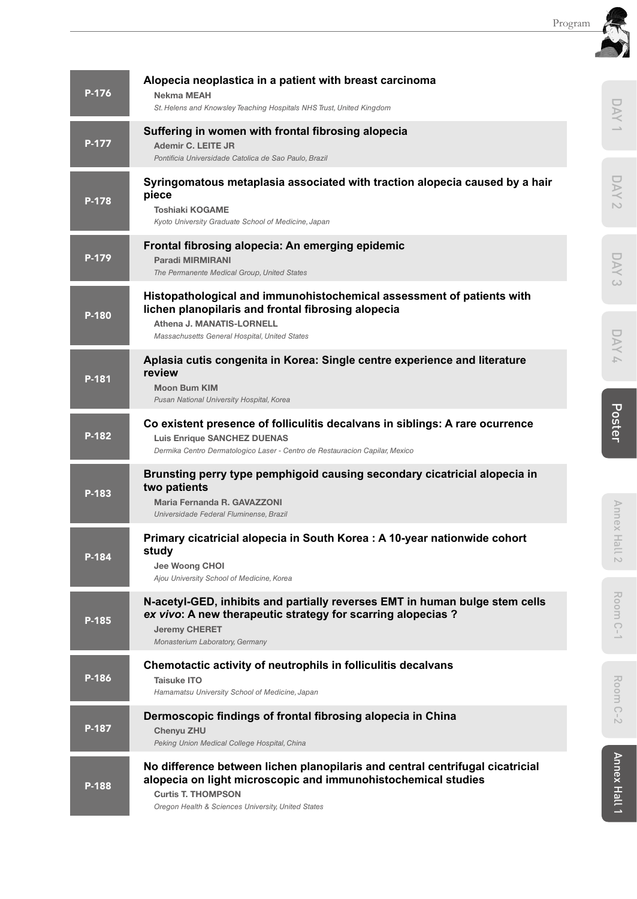|       |                                                                                                                                                                                                                                   | Program |                        |
|-------|-----------------------------------------------------------------------------------------------------------------------------------------------------------------------------------------------------------------------------------|---------|------------------------|
| P-176 | Alopecia neoplastica in a patient with breast carcinoma<br><b>Nekma MEAH</b><br>St. Helens and Knowsley Teaching Hospitals NHS Trust, United Kingdom                                                                              |         |                        |
| P-177 | Suffering in women with frontal fibrosing alopecia<br>Ademir C. LEITE JR<br>Pontificia Universidade Catolica de Sao Paulo, Brazil                                                                                                 |         |                        |
| P-178 | Syringomatous metaplasia associated with traction alopecia caused by a hair<br>piece<br><b>Toshiaki KOGAME</b><br>Kyoto University Graduate School of Medicine, Japan                                                             |         | $\sim$                 |
| P-179 | Frontal fibrosing alopecia: An emerging epidemic<br><b>Paradi MIRMIRANI</b><br>The Permanente Medical Group, United States                                                                                                        |         |                        |
| P-180 | Histopathological and immunohistochemical assessment of patients with<br>lichen planopilaris and frontal fibrosing alopecia<br>Athena J. MANATIS-LORNELL<br>Massachusetts General Hospital, United States                         |         | $\omega$               |
| P-181 | Aplasia cutis congenita in Korea: Single centre experience and literature<br>review<br><b>Moon Bum KIM</b><br>Pusan National University Hospital, Korea                                                                           |         |                        |
| P-182 | Co existent presence of folliculitis decalvans in siblings: A rare ocurrence<br><b>Luis Enrique SANCHEZ DUENAS</b><br>Dermika Centro Dermatologico Laser - Centro de Restauracion Capilar, Mexico                                 |         | Poster                 |
| P-183 | Brunsting perry type pemphigoid causing secondary cicatricial alopecia in<br>two patients<br>Maria Fernanda R. GAVAZZONI<br>Universidade Federal Fluminense, Brazil                                                               |         |                        |
| P-184 | Primary cicatricial alopecia in South Korea : A 10-year nationwide cohort<br>study<br>Jee Woong CHOI<br>Ajou University School of Medicine, Korea                                                                                 |         | Annex Hall             |
| P-185 | N-acetyl-GED, inhibits and partially reverses EMT in human bulge stem cells<br>ex vivo: A new therapeutic strategy for scarring alopecias?<br><b>Jeremy CHERET</b><br>Monasterium Laboratory, Germany                             |         | Room<br>$\overline{C}$ |
| P-186 | Chemotactic activity of neutrophils in folliculitis decalvans<br><b>Taisuke ITO</b><br>Hamamatsu University School of Medicine, Japan                                                                                             |         | Room                   |
| P-187 | Dermoscopic findings of frontal fibrosing alopecia in China<br>Chenyu ZHU<br>Peking Union Medical College Hospital, China                                                                                                         |         | $\bigcirc$<br>$\sim$   |
| P-188 | No difference between lichen planopilaris and central centrifugal cicatricial<br>alopecia on light microscopic and immunohistochemical studies<br><b>Curtis T. THOMPSON</b><br>Oregon Health & Sciences University, United States |         | Annex Hall 1           |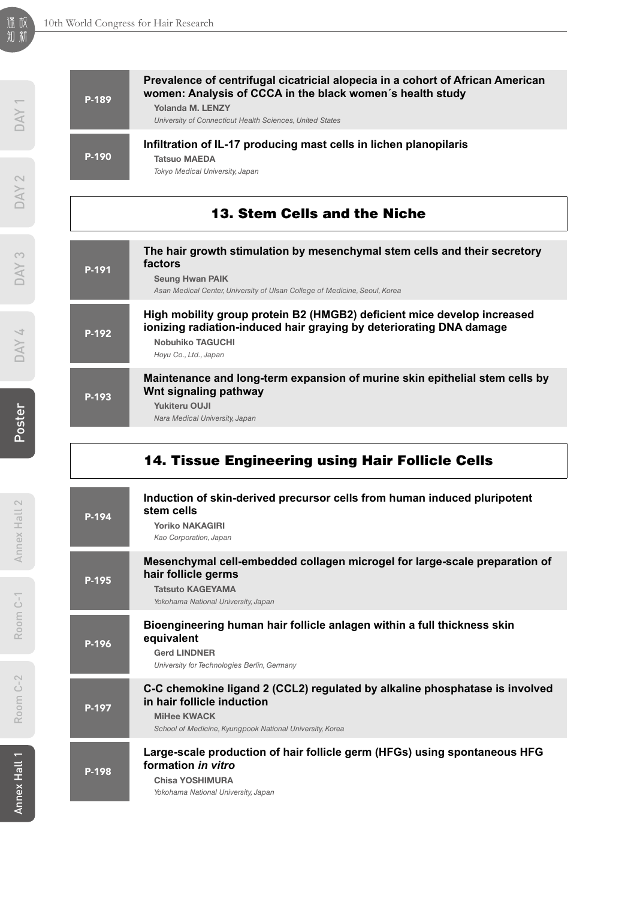| P-189 | Prevalence of centrifugal cicatricial alopecia in a cohort of African American<br>women: Analysis of CCCA in the black women's health study<br>Yolanda M. LENZY<br>University of Connecticut Health Sciences, United States |
|-------|-----------------------------------------------------------------------------------------------------------------------------------------------------------------------------------------------------------------------------|
| P-190 | Infiltration of IL-17 producing mast cells in lichen planopilaris<br><b>Tatsuo MAEDA</b><br>Tokyo Medical University, Japan                                                                                                 |
|       | <b>13. Stem Cells and the Niche</b>                                                                                                                                                                                         |
| P-191 | The hair growth stimulation by mesenchymal stem cells and their secretory<br>factors<br><b>Seung Hwan PAIK</b><br>Asan Medical Center, University of Ulsan College of Medicine, Seoul, Korea                                |
| P-192 | High mobility group protein B2 (HMGB2) deficient mice develop increased<br>ionizing radiation-induced hair graying by deteriorating DNA damage<br><b>Nobuhiko TAGUCHI</b><br>Hoyu Co., Ltd., Japan                          |
|       |                                                                                                                                                                                                                             |

### 14. Tissue Engineering using Hair Follicle Cells

| P-194 | Induction of skin-derived precursor cells from human induced pluripotent<br>stem cells<br><b>Yoriko NAKAGIRI</b><br>Kao Corporation, Japan                                                  |
|-------|---------------------------------------------------------------------------------------------------------------------------------------------------------------------------------------------|
| P-195 | Mesenchymal cell-embedded collagen microgel for large-scale preparation of<br>hair follicle germs<br><b>Tatsuto KAGEYAMA</b><br>Yokohama National University, Japan                         |
| P-196 | Bioengineering human hair follicle anlagen within a full thickness skin<br>equivalent<br><b>Gerd LINDNER</b><br>University for Technologies Berlin, Germany                                 |
| P-197 | C-C chemokine ligand 2 (CCL2) regulated by alkaline phosphatase is involved<br>in hair follicle induction<br><b>MiHee KWACK</b><br>School of Medicine, Kyungpook National University, Korea |
| P-198 | Large-scale production of hair follicle germ (HFGs) using spontaneous HFG<br>formation in vitro<br>Chisa YOSHIMURA<br>Yokohama National University, Japan                                   |

DAY<sub>1</sub>

Poster  $DAY 4$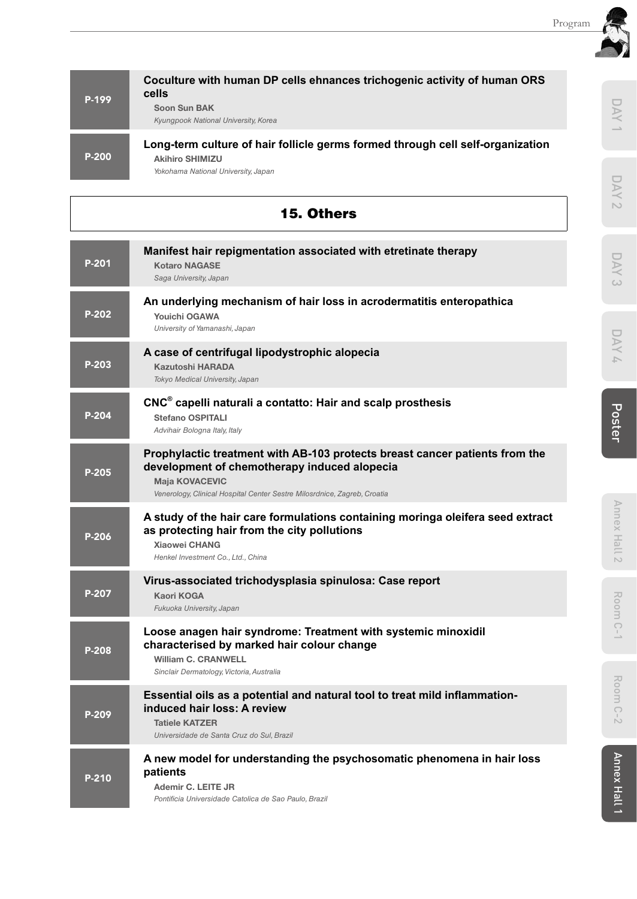DAY 1

**DAY 2** 

DAY 2 Poster Poster Poster

DAY 4

| P-199 | Coculture with human DP cells ehnances trichogenic activity of human ORS<br>cells                        |
|-------|----------------------------------------------------------------------------------------------------------|
|       | Soon Sun BAK<br>Kyungpook National University, Korea                                                     |
| P-200 | Long-term culture of hair follicle germs formed through cell self-organization<br><b>Akihiro SHIMIZU</b> |
|       | Yokohama National University, Japan                                                                      |

|       | <b>15. Others</b>                                                                                                                                                                                                                | $\sim$          |
|-------|----------------------------------------------------------------------------------------------------------------------------------------------------------------------------------------------------------------------------------|-----------------|
| P-201 | Manifest hair repigmentation associated with etretinate therapy<br><b>Kotaro NAGASE</b><br>Saga University, Japan                                                                                                                | DAY<br>w        |
| P-202 | An underlying mechanism of hair loss in acrodermatitis enteropathica<br><b>Youichi OGAWA</b><br>University of Yamanashi, Japan                                                                                                   |                 |
| P-203 | A case of centrifugal lipodystrophic alopecia<br><b>Kazutoshi HARADA</b><br>Tokyo Medical University, Japan                                                                                                                      | DAY<br>A.       |
| P-204 | CNC <sup>®</sup> capelli naturali a contatto: Hair and scalp prosthesis<br><b>Stefano OSPITALI</b><br>Advihair Bologna Italy, Italy                                                                                              | Poster          |
| P-205 | Prophylactic treatment with AB-103 protects breast cancer patients from the<br>development of chemotherapy induced alopecia<br><b>Maja KOVACEVIC</b><br>Venerology, Clinical Hospital Center Sestre Milosrdnice, Zagreb, Croatia |                 |
| P-206 | A study of the hair care formulations containing moringa oleifera seed extract<br>as protecting hair from the city pollutions<br><b>Xiaowei CHANG</b><br>Henkel Investment Co., Ltd., China                                      | Annex Hall 2    |
| P-207 | Virus-associated trichodysplasia spinulosa: Case report<br><b>Kaori KOGA</b><br>Fukuoka University, Japan                                                                                                                        | Room            |
| P-208 | Loose anagen hair syndrome: Treatment with systemic minoxidil<br>characterised by marked hair colour change<br><b>William C. CRANWELL</b><br>Sinclair Dermatology, Victoria, Australia                                           | $C-1$           |
| P-209 | Essential oils as a potential and natural tool to treat mild inflammation-<br>induced hair loss: A review<br><b>Tatiele KATZER</b><br>Universidade de Santa Cruz do Sul, Brazil                                                  | Room<br>$C - 2$ |
| P-210 | A new model for understanding the psychosomatic phenomena in hair loss<br>patients<br>Ademir C. LEITE JR<br>Pontificia Universidade Catolica de Sao Paulo, Brazil                                                                | Annex Hall      |

Room C-2

Annex Hall 2

Room C-1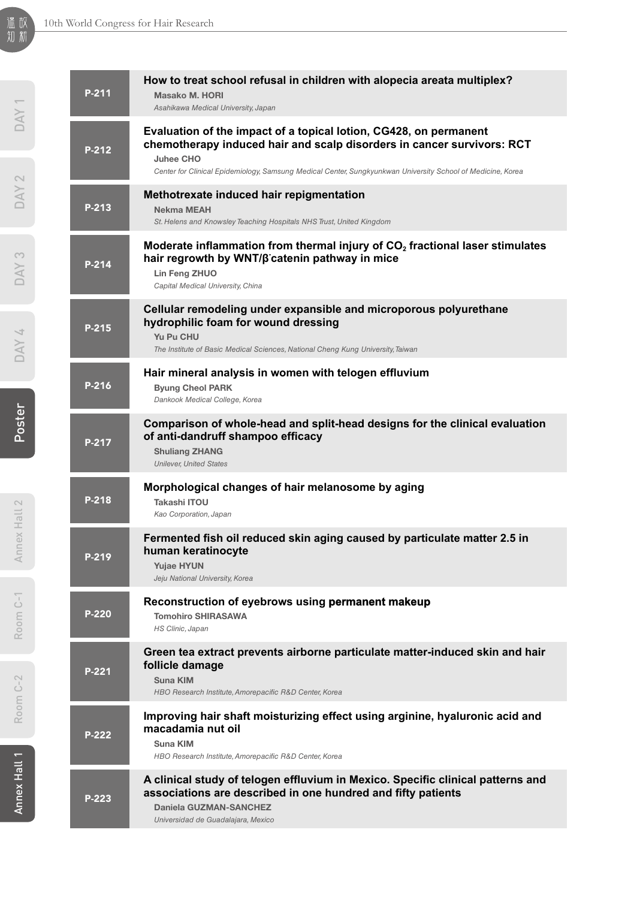| P-211   | How to treat school refusal in children with alopecia areata multiplex?<br><b>Masako M. HORI</b><br>Asahikawa Medical University, Japan                                                                                                                                        |
|---------|--------------------------------------------------------------------------------------------------------------------------------------------------------------------------------------------------------------------------------------------------------------------------------|
| P-212   | Evaluation of the impact of a topical lotion, CG428, on permanent<br>chemotherapy induced hair and scalp disorders in cancer survivors: RCT<br><b>Juhee CHO</b><br>Center for Clinical Epidemiology, Samsung Medical Center, Sungkyunkwan University School of Medicine, Korea |
| $P-213$ | Methotrexate induced hair repigmentation<br><b>Nekma MEAH</b><br>St. Helens and Knowsley Teaching Hospitals NHS Trust, United Kingdom                                                                                                                                          |
| $P-214$ | Moderate inflammation from thermal injury of CO <sub>2</sub> fractional laser stimulates<br>hair regrowth by WNT/β catenin pathway in mice<br>Lin Feng ZHUO<br>Capital Medical University, China                                                                               |
| $P-215$ | Cellular remodeling under expansible and microporous polyurethane<br>hydrophilic foam for wound dressing<br>Yu Pu CHU<br>The Institute of Basic Medical Sciences, National Cheng Kung University, Taiwan                                                                       |
| P-216   | Hair mineral analysis in women with telogen effluvium<br><b>Byung Cheol PARK</b><br>Dankook Medical College, Korea                                                                                                                                                             |
| P-217   | Comparison of whole-head and split-head designs for the clinical evaluation<br>of anti-dandruff shampoo efficacy<br><b>Shuliang ZHANG</b><br><b>Unilever, United States</b>                                                                                                    |
| P-218   | Morphological changes of hair melanosome by aging<br>Takashi ITOU<br>Kao Corporation, Japan                                                                                                                                                                                    |
| P-219   | Fermented fish oil reduced skin aging caused by particulate matter 2.5 in<br>human keratinocyte<br><b>Yujae HYUN</b><br>Jeju National University, Korea                                                                                                                        |
| P-220   | Reconstruction of eyebrows using permanent makeup<br><b>Tomohiro SHIRASAWA</b><br>HS Clinic, Japan                                                                                                                                                                             |
| P-221   | Green tea extract prevents airborne particulate matter-induced skin and hair<br>follicle damage<br><b>Suna KIM</b><br>HBO Research Institute, Amorepacific R&D Center, Korea                                                                                                   |
| P-222   | Improving hair shaft moisturizing effect using arginine, hyaluronic acid and<br>macadamia nut oil<br>Suna KIM<br>HBO Research Institute, Amorepacific R&D Center, Korea                                                                                                        |
| P-223   | A clinical study of telogen effluvium in Mexico. Specific clinical patterns and<br>associations are described in one hundred and fifty patients<br><b>Daniela GUZMAN-SANCHEZ</b><br>Universidad de Guadalajara, Mexico                                                         |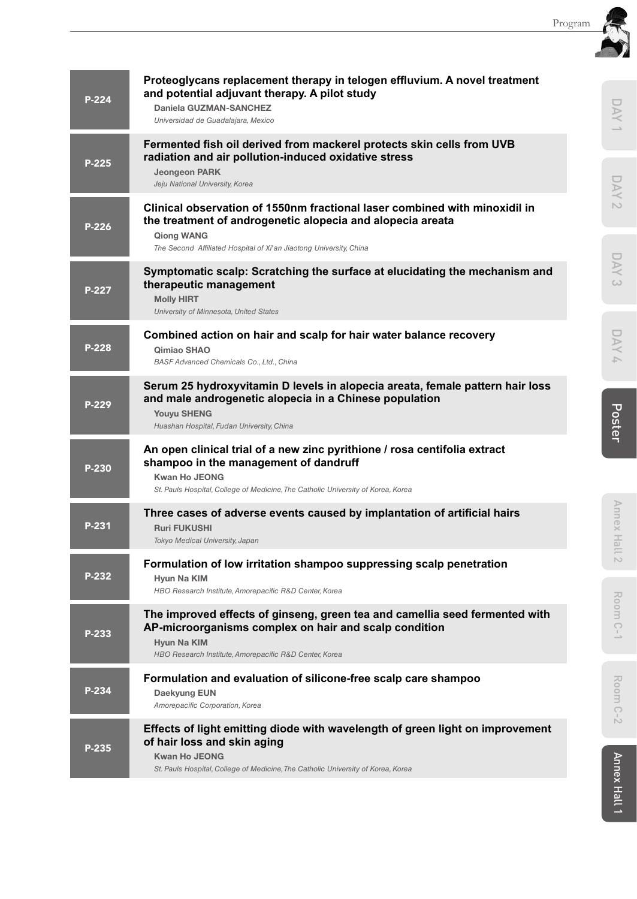|       | Proteoglycans replacement therapy in telogen effluvium. A novel treatment                                                                                                                                                      |                               |
|-------|--------------------------------------------------------------------------------------------------------------------------------------------------------------------------------------------------------------------------------|-------------------------------|
| P-224 | and potential adjuvant therapy. A pilot study<br>Daniela GUZMAN-SANCHEZ<br>Universidad de Guadalajara, Mexico                                                                                                                  | DAY                           |
| P-225 | Fermented fish oil derived from mackerel protects skin cells from UVB<br>radiation and air pollution-induced oxidative stress<br><b>Jeongeon PARK</b>                                                                          |                               |
| P-226 | Jeju National University, Korea<br>Clinical observation of 1550nm fractional laser combined with minoxidil in<br>the treatment of androgenetic alopecia and alopecia areata<br><b>Qiong WANG</b>                               | DAY<br>$\sim$                 |
|       | The Second Affiliated Hospital of Xi'an Jiaotong University, China<br>Symptomatic scalp: Scratching the surface at elucidating the mechanism and                                                                               | DAY                           |
| P-227 | therapeutic management<br><b>Molly HIRT</b><br>University of Minnesota, United States                                                                                                                                          | $\omega$                      |
| P-228 | Combined action on hair and scalp for hair water balance recovery<br>Qimiao SHAO<br><b>BASF Advanced Chemicals Co., Ltd., China</b>                                                                                            | Ř<br>$\overline{\phantom{a}}$ |
| P-229 | Serum 25 hydroxyvitamin D levels in alopecia areata, female pattern hair loss<br>and male androgenetic alopecia in a Chinese population<br><b>Youyu SHENG</b><br>Huashan Hospital, Fudan University, China                     | Poster                        |
| P-230 | An open clinical trial of a new zinc pyrithione / rosa centifolia extract<br>shampoo in the management of dandruff<br><b>Kwan Ho JEONG</b><br>St. Pauls Hospital, College of Medicine, The Catholic University of Korea, Korea |                               |
| P-231 | Three cases of adverse events caused by implantation of artificial hairs<br><b>Ruri FUKUSHI</b><br>Tokyo Medical University, Japan                                                                                             | Annex Hall 2                  |
| P-232 | Formulation of low irritation shampoo suppressing scalp penetration<br>Hyun Na KIM<br>HBO Research Institute, Amorepacific R&D Center, Korea                                                                                   |                               |
| P-233 | The improved effects of ginseng, green tea and camellia seed fermented with<br>AP-microorganisms complex on hair and scalp condition<br>Hyun Na KIM<br>HBO Research Institute, Amorepacific R&D Center, Korea                  | <b>Rool</b><br>3<br>$C-1$     |
| P-234 | Formulation and evaluation of silicone-free scalp care shampoo<br>Daekyung EUN<br>Amorepacific Corporation, Korea                                                                                                              | Room<br>$C-2$                 |
| P-235 | Effects of light emitting diode with wavelength of green light on improvement<br>of hair loss and skin aging<br><b>Kwan Ho JEONG</b><br>St. Pauls Hospital, College of Medicine, The Catholic University of Korea, Korea       |                               |
|       |                                                                                                                                                                                                                                | Annex Hall                    |